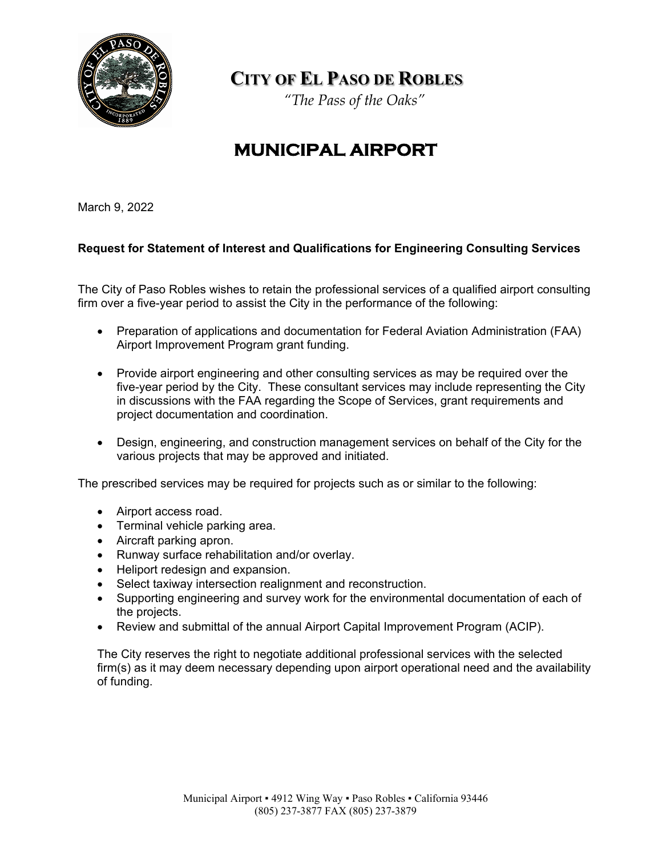

**CITY OF EL PASO DE ROBLES**

*"The Pass of the Oaks"*

## **MUNICIPAL AIRPORT**

March 9, 2022

## **Request for Statement of Interest and Qualifications for Engineering Consulting Services**

The City of Paso Robles wishes to retain the professional services of a qualified airport consulting firm over a five-year period to assist the City in the performance of the following:

- Preparation of applications and documentation for Federal Aviation Administration (FAA) Airport Improvement Program grant funding.
- Provide airport engineering and other consulting services as may be required over the five-year period by the City. These consultant services may include representing the City in discussions with the FAA regarding the Scope of Services, grant requirements and project documentation and coordination.
- Design, engineering, and construction management services on behalf of the City for the various projects that may be approved and initiated.

The prescribed services may be required for projects such as or similar to the following:

- Airport access road.
- Terminal vehicle parking area.
- Aircraft parking apron.
- Runway surface rehabilitation and/or overlay.
- Heliport redesign and expansion.
- Select taxiway intersection realignment and reconstruction.
- Supporting engineering and survey work for the environmental documentation of each of the projects.
- Review and submittal of the annual Airport Capital Improvement Program (ACIP).

The City reserves the right to negotiate additional professional services with the selected firm(s) as it may deem necessary depending upon airport operational need and the availability of funding.